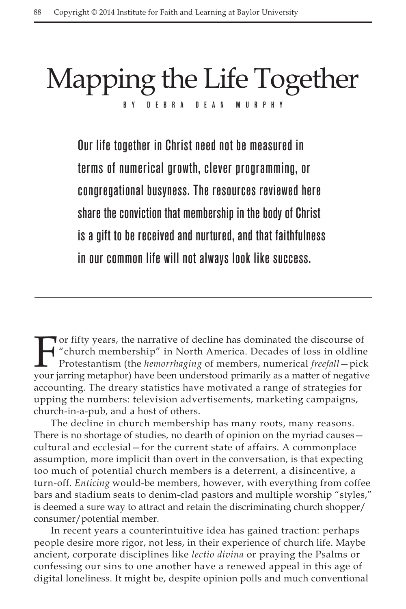# Mapping the Life Together BY DE BRADEAN MURP

Our life together in Christ need not be measured in terms of numerical growth, clever programming, or congregational busyness. The resources reviewed here share the conviction that membership in the body of Christ is a gift to be received and nurtured, and that faithfulness in our common life will not always look like success.

For fifty years, the narrative of decline has dominated the discourse of<br>
"church membership" in North America. Decades of loss in oldline<br>
Protestantism (the *hemorrhaging* of members, numerical *freefall* – pick<br>
your ja "church membership" in North America. Decades of loss in oldline Protestantism (the *hemorrhaging* of members, numerical *freefall*—pick your jarring metaphor) have been understood primarily as a matter of negative accounting. The dreary statistics have motivated a range of strategies for upping the numbers: television advertisements, marketing campaigns, church-in-a-pub, and a host of others.

The decline in church membership has many roots, many reasons. There is no shortage of studies, no dearth of opinion on the myriad causes cultural and ecclesial—for the current state of affairs. A commonplace assumption, more implicit than overt in the conversation, is that expecting too much of potential church members is a deterrent, a disincentive, a turn-off. *Enticing* would-be members, however, with everything from coffee bars and stadium seats to denim-clad pastors and multiple worship "styles," is deemed a sure way to attract and retain the discriminating church shopper/ consumer/potential member.

In recent years a counterintuitive idea has gained traction: perhaps people desire more rigor, not less, in their experience of church life. Maybe ancient, corporate disciplines like *lectio divina* or praying the Psalms or confessing our sins to one another have a renewed appeal in this age of digital loneliness. It might be, despite opinion polls and much conventional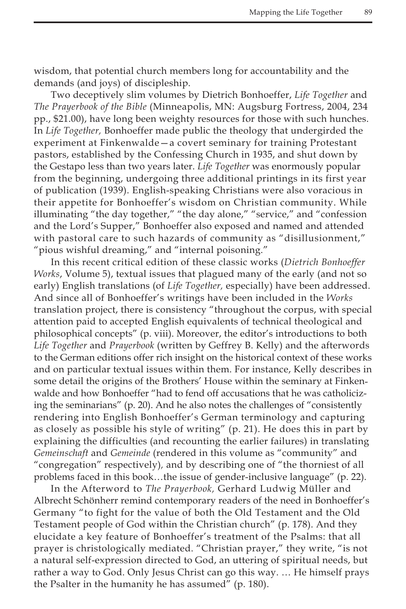wisdom, that potential church members long for accountability and the demands (and joys) of discipleship.

Two deceptively slim volumes by Dietrich Bonhoeffer, *Life Together* and *The Prayerbook of the Bible* (Minneapolis, MN: Augsburg Fortress, 2004, 234 pp., \$21.00), have long been weighty resources for those with such hunches. In *Life Together,* Bonhoeffer made public the theology that undergirded the experiment at Finkenwalde—a covert seminary for training Protestant pastors, established by the Confessing Church in 1935, and shut down by the Gestapo less than two years later. *Life Together* was enormously popular from the beginning, undergoing three additional printings in its first year of publication (1939). English-speaking Christians were also voracious in their appetite for Bonhoeffer's wisdom on Christian community. While illuminating "the day together," "the day alone," "service," and "confession and the Lord's Supper," Bonhoeffer also exposed and named and attended with pastoral care to such hazards of community as "disillusionment," "pious wishful dreaming," and "internal poisoning."

In this recent critical edition of these classic works (*Dietrich Bonhoeffer Works*, Volume 5), textual issues that plagued many of the early (and not so early) English translations (of *Life Together,* especially) have been addressed. And since all of Bonhoeffer's writings have been included in the *Works* translation project, there is consistency "throughout the corpus, with special attention paid to accepted English equivalents of technical theological and philosophical concepts" (p. viii). Moreover, the editor's introductions to both *Life Together* and *Prayerbook* (written by Geffrey B. Kelly) and the afterwords to the German editions offer rich insight on the historical context of these works and on particular textual issues within them. For instance, Kelly describes in some detail the origins of the Brothers' House within the seminary at Finkenwalde and how Bonhoeffer "had to fend off accusations that he was catholicizing the seminarians" (p. 20). And he also notes the challenges of "consistently rendering into English Bonhoeffer's German terminology and capturing as closely as possible his style of writing" (p. 21). He does this in part by explaining the difficulties (and recounting the earlier failures) in translating *Gemeinschaft* and *Gemeinde* (rendered in this volume as "community" and "congregation" respectively)*,* and by describing one of "the thorniest of all problems faced in this book…the issue of gender-inclusive language" (p. 22).

In the Afterword to *The Prayerbook,* Gerhard Ludwig Müller and Albrecht Schönherr remind contemporary readers of the need in Bonhoeffer's Germany "to fight for the value of both the Old Testament and the Old Testament people of God within the Christian church" (p. 178). And they elucidate a key feature of Bonhoeffer's treatment of the Psalms: that all prayer is christologically mediated. "Christian prayer," they write, "is not a natural self-expression directed to God, an uttering of spiritual needs, but rather a way to God. Only Jesus Christ can go this way. … He himself prays the Psalter in the humanity he has assumed" (p. 180).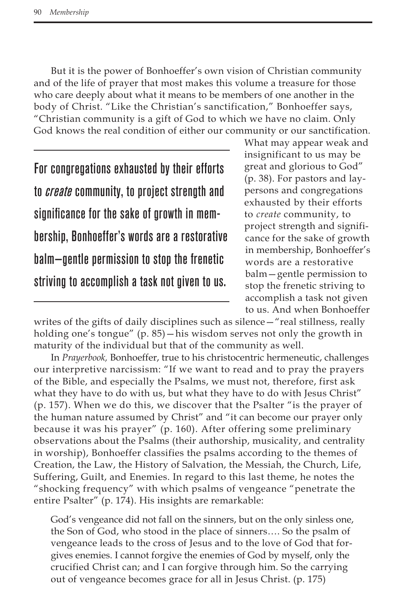But it is the power of Bonhoeffer's own vision of Christian community and of the life of prayer that most makes this volume a treasure for those who care deeply about what it means to be members of one another in the body of Christ. "Like the Christian's sanctification," Bonhoeffer says, "Christian community is a gift of God to which we have no claim. Only God knows the real condition of either our community or our sanctification.

For congregations exhausted by their efforts to *create* community, to project strength and significance for the sake of growth in membership, Bonhoeffer's words are a restorative balm—gentle permission to stop the frenetic striving to accomplish a task not given to us.

What may appear weak and insignificant to us may be great and glorious to God" (p. 38). For pastors and laypersons and congregations exhausted by their efforts to *create* community, to project strength and significance for the sake of growth in membership, Bonhoeffer's words are a restorative balm—gentle permission to stop the frenetic striving to accomplish a task not given to us. And when Bonhoeffer

writes of the gifts of daily disciplines such as silence—"real stillness, really holding one's tongue" (p. 85)—his wisdom serves not only the growth in maturity of the individual but that of the community as well.

In *Prayerbook,* Bonhoeffer, true to his christocentric hermeneutic, challenges our interpretive narcissism: "If we want to read and to pray the prayers of the Bible, and especially the Psalms, we must not, therefore, first ask what they have to do with us, but what they have to do with Jesus Christ" (p. 157). When we do this, we discover that the Psalter "is the prayer of the human nature assumed by Christ" and "it can become our prayer only because it was his prayer" (p. 160). After offering some preliminary observations about the Psalms (their authorship, musicality, and centrality in worship), Bonhoeffer classifies the psalms according to the themes of Creation, the Law, the History of Salvation, the Messiah, the Church, Life, Suffering, Guilt, and Enemies. In regard to this last theme, he notes the "shocking frequency" with which psalms of vengeance "penetrate the entire Psalter" (p. 174). His insights are remarkable:

God's vengeance did not fall on the sinners, but on the only sinless one, the Son of God, who stood in the place of sinners…. So the psalm of vengeance leads to the cross of Jesus and to the love of God that forgives enemies. I cannot forgive the enemies of God by myself, only the crucified Christ can; and I can forgive through him. So the carrying out of vengeance becomes grace for all in Jesus Christ. (p. 175)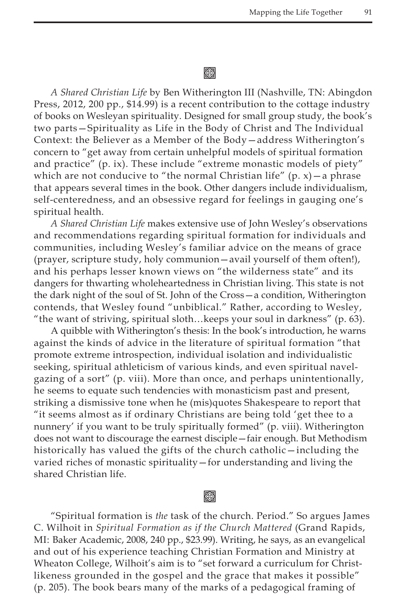## 缀

*A Shared Christian Life* by Ben Witherington III (Nashville, TN: Abingdon Press, 2012, 200 pp., \$14.99) is a recent contribution to the cottage industry of books on Wesleyan spirituality. Designed for small group study, the book's two parts—Spirituality as Life in the Body of Christ and The Individual Context: the Believer as a Member of the Body—address Witherington's concern to "get away from certain unhelpful models of spiritual formation and practice" (p. ix). These include "extreme monastic models of piety" which are not conducive to "the normal Christian life"  $(p, x)$  – a phrase that appears several times in the book. Other dangers include individualism, self-centeredness, and an obsessive regard for feelings in gauging one's spiritual health.

*A Shared Christian Life* makes extensive use of John Wesley's observations and recommendations regarding spiritual formation for individuals and communities, including Wesley's familiar advice on the means of grace (prayer, scripture study, holy communion—avail yourself of them often!), and his perhaps lesser known views on "the wilderness state" and its dangers for thwarting wholeheartedness in Christian living. This state is not the dark night of the soul of St. John of the Cross—a condition, Witherington contends, that Wesley found "unbiblical." Rather, according to Wesley, "the want of striving, spiritual sloth…keeps your soul in darkness" (p. 63).

A quibble with Witherington's thesis: In the book's introduction, he warns against the kinds of advice in the literature of spiritual formation "that promote extreme introspection, individual isolation and individualistic seeking, spiritual athleticism of various kinds, and even spiritual navelgazing of a sort" (p. viii). More than once, and perhaps unintentionally, he seems to equate such tendencies with monasticism past and present, striking a dismissive tone when he (mis)quotes Shakespeare to report that "it seems almost as if ordinary Christians are being told 'get thee to a nunnery' if you want to be truly spiritually formed" (p. viii). Witherington does not want to discourage the earnest disciple—fair enough. But Methodism historically has valued the gifts of the church catholic—including the varied riches of monastic spirituality—for understanding and living the shared Christian life.

# Kon

"Spiritual formation is *the* task of the church. Period." So argues James C. Wilhoit in *Spiritual Formation as if the Church Mattered* (Grand Rapids, MI: Baker Academic, 2008, 240 pp., \$23.99). Writing, he says, as an evangelical and out of his experience teaching Christian Formation and Ministry at Wheaton College, Wilhoit's aim is to "set forward a curriculum for Christlikeness grounded in the gospel and the grace that makes it possible" (p. 205). The book bears many of the marks of a pedagogical framing of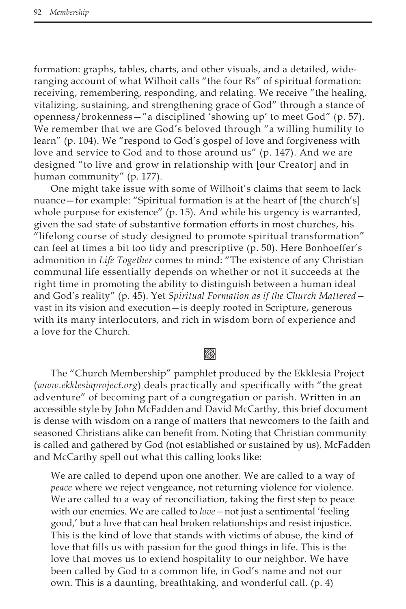formation: graphs, tables, charts, and other visuals, and a detailed, wideranging account of what Wilhoit calls "the four Rs" of spiritual formation: receiving, remembering, responding, and relating. We receive "the healing, vitalizing, sustaining, and strengthening grace of God" through a stance of openness/brokenness—"a disciplined 'showing up' to meet God" (p. 57). We remember that we are God's beloved through "a willing humility to learn" (p. 104). We "respond to God's gospel of love and forgiveness with love and service to God and to those around us" (p. 147). And we are designed "to live and grow in relationship with [our Creator] and in human community" (p. 177).

One might take issue with some of Wilhoit's claims that seem to lack nuance—for example: "Spiritual formation is at the heart of [the church's] whole purpose for existence" (p. 15). And while his urgency is warranted, given the sad state of substantive formation efforts in most churches, his "lifelong course of study designed to promote spiritual transformation" can feel at times a bit too tidy and prescriptive (p. 50). Here Bonhoeffer's admonition in *Life Together* comes to mind: "The existence of any Christian communal life essentially depends on whether or not it succeeds at the right time in promoting the ability to distinguish between a human ideal and God's reality" (p. 45). Yet *Spiritual Formation as if the Church Mattered* vast in its vision and execution—is deeply rooted in Scripture, generous with its many interlocutors, and rich in wisdom born of experience and a love for the Church.

### k)

The "Church Membership" pamphlet produced by the Ekklesia Project (*www.ekklesiaproject.org*) deals practically and specifically with "the great adventure" of becoming part of a congregation or parish. Written in an accessible style by John McFadden and David McCarthy, this brief document is dense with wisdom on a range of matters that newcomers to the faith and seasoned Christians alike can benefit from. Noting that Christian community is called and gathered by God (not established or sustained by us), McFadden and McCarthy spell out what this calling looks like:

We are called to depend upon one another. We are called to a way of *peace* where we reject vengeance, not returning violence for violence. We are called to a way of reconciliation, taking the first step to peace with our enemies. We are called to *love—*not just a sentimental 'feeling good,' but a love that can heal broken relationships and resist injustice. This is the kind of love that stands with victims of abuse, the kind of love that fills us with passion for the good things in life. This is the love that moves us to extend hospitality to our neighbor. We have been called by God to a common life, in God's name and not our own. This is a daunting, breathtaking, and wonderful call. (p. 4)